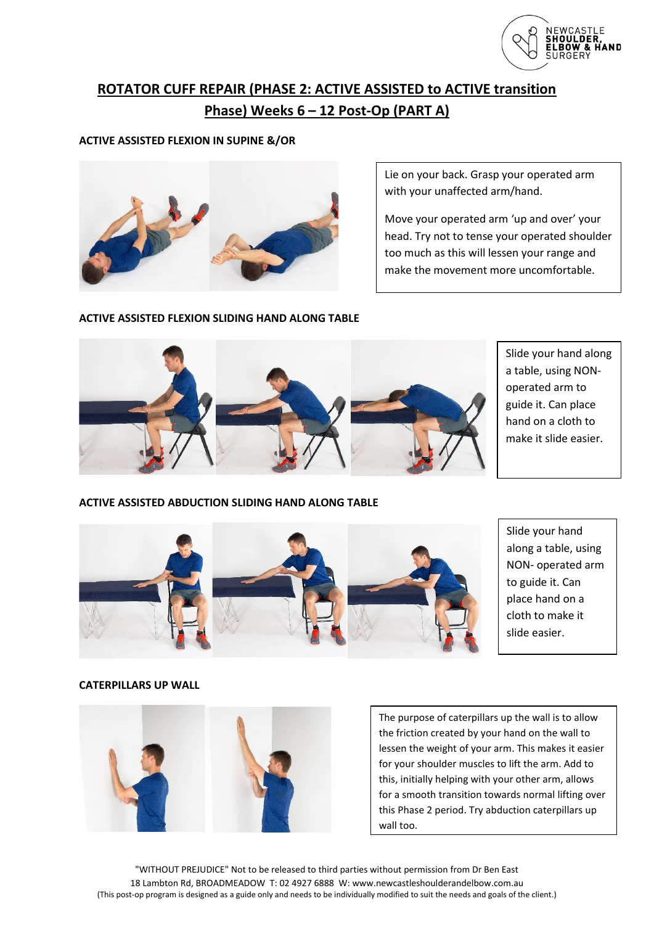

# **ROTATOR CUFF REPAIR (PHASE 2: ACTIVE ASSISTED to ACTIVE transition Phase) Weeks 6 – 12 Post-Op (PART A)**

## **ACTIVE ASSISTED FLEXION IN SUPINE &/OR**



Lie on your back. Grasp your operated arm with your unaffected arm/hand.

Move your operated arm 'up and over' your head. Try not to tense your operated shoulder too much as this will lessen your range and make the movement more uncomfortable.

## **ACTIVE ASSISTED FLEXION SLIDING HAND ALONG TABLE**



Slide your hand along a table, using NONoperated arm to guide it. Can place hand on a cloth to make it slide easier.

## **ACTIVE ASSISTED ABDUCTION SLIDING HAND ALONG TABLE**



Slide your hand along a table, using NON- operated arm to guide it. Can place hand on a cloth to make it slide easier.

## **CATERPILLARS UP WALL**



The purpose of caterpillars up the wall is to allow the friction created by your hand on the wall to lessen the weight of your arm. This makes it easier for your shoulder muscles to lift the arm. Add to this, initially helping with your other arm, allows for a smooth transition towards normal lifting over this Phase 2 period. Try abduction caterpillars up wall too.

"WITHOUT PREJUDICE" Not to be released to third parties without permission from Dr Ben East 18 Lambton Rd, BROADMEADOW T: 02 4927 6888 W: www.newcastleshoulderandelbow.com.au (This post-op program is designed as a guide only and needs to be individually modified to suit the needs and goals of the client.)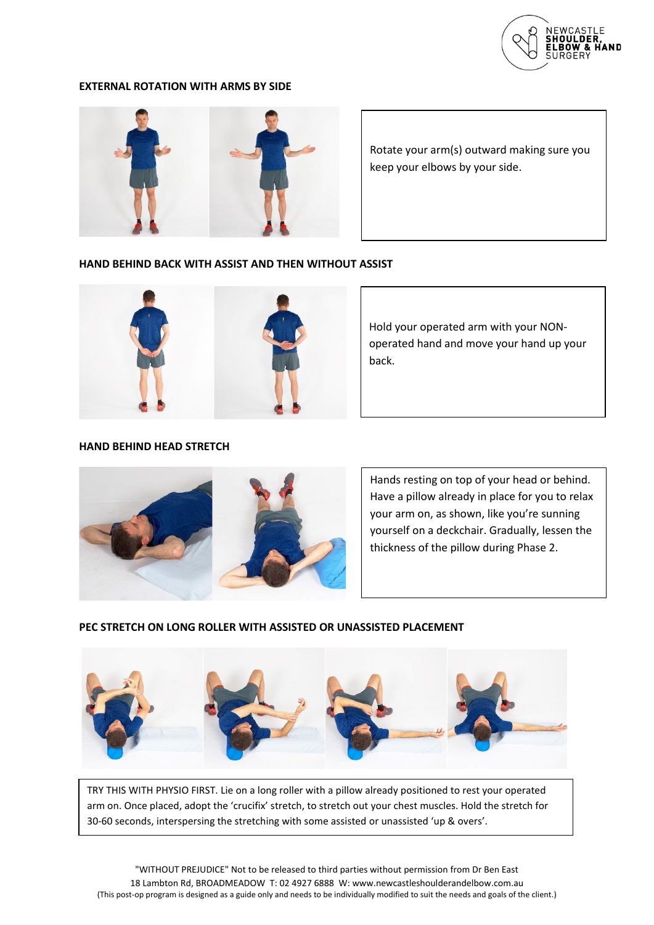

#### **EXTERNAL ROTATION WITH ARMS BY SIDE**



Rotate your arm(s) outward making sure you keep your elbows by your side.

## **HAND BEHIND BACK WITH ASSIST AND THEN WITHOUT ASSIST**



Hold your operated arm with your NONoperated hand and move your hand up your back.

## **HAND BEHIND HEAD STRETCH**



Hands resting on top of your head or behind. Have a pillow already in place for you to relax your arm on, as shown, like you're sunning yourself on a deckchair. Gradually, lessen the thickness of the pillow during Phase 2.

#### **PEC STRETCH ON LONG ROLLER WITH ASSISTED OR UNASSISTED PLACEMENT**



TRY THIS WITH PHYSIO FIRST. Lie on a long roller with a pillow already positioned to rest your operated arm on. Once placed, adopt the 'crucifix' stretch, to stretch out your chest muscles. Hold the stretch for 30-60 seconds, interspersing the stretching with some assisted or unassisted 'up & overs'.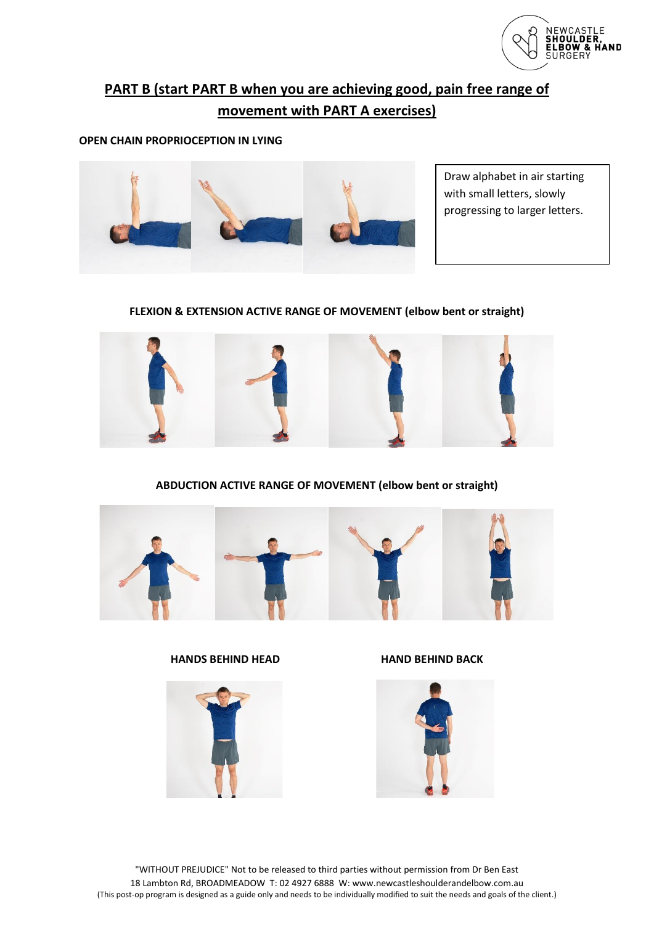

# **PART B (start PART B when you are achieving good, pain free range of movement with PART A exercises)**

## **OPEN CHAIN PROPRIOCEPTION IN LYING**



Draw alphabet in air starting with small letters, slowly progressing to larger letters.

## **FLEXION & EXTENSION ACTIVE RANGE OF MOVEMENT (elbow bent or straight)**



## **ABDUCTION ACTIVE RANGE OF MOVEMENT (elbow bent or straight)**



## **HANDS BEHIND HEAD HAND BEHIND BACK**